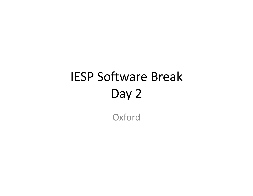# IESP Software Break Day 2

**Oxford**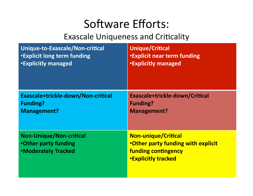#### Software Efforts:

#### Exascale Uniqueness and Criticality

| Unique-to-Exascale/Non-critical                                                             | <b>Unique/Critical</b>                                                                                                              |
|---------------------------------------------------------------------------------------------|-------------------------------------------------------------------------------------------------------------------------------------|
| <b>.</b> Explicit long term funding                                                         | <b>.</b> Explicit near term funding                                                                                                 |
| <b>.</b> Explicitly managed                                                                 | <b>.Explicitly managed</b>                                                                                                          |
| Exascale+trickle-down/Non-critical                                                          | Exascale+trickle-down/Critical                                                                                                      |
| <b>Funding?</b>                                                                             | <b>Funding?</b>                                                                                                                     |
| <b>Management?</b>                                                                          | <b>Management?</b>                                                                                                                  |
| <b>Non-Unique/Non-critical</b><br><b>•Other party funding</b><br><b>.Moderately Tracked</b> | <b>Non-unique/Critical</b><br><b>.Other party funding with explicit</b><br><b>funding contingency</b><br><b>.Explicitly tracked</b> |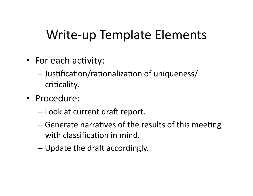# **Write-up Template Elements**

- For each activity:
	- Justification/rationalization of uniqueness/ criticality.
- · Procedure:
	- Look at current draft report.
	- Generate narratives of the results of this meeting with classification in mind.
	- Update the draft accordingly.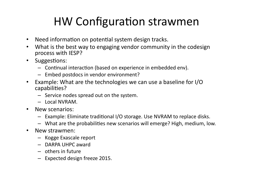#### HW Configuration strawmen

- Need information on potential system design tracks.
- What is the best way to engaging vendor community in the codesign process with IESP?
- Suggestions:
	- $-$  Continual interaction (based on experience in embedded env).
	- $-$  Embed postdocs in vendor environment?
- Example: What are the technologies we can use a baseline for  $I/O$ capabilities?
	- $-$  Service nodes spread out on the system.
	- $-$  Local NVRAM.
- New scenarios:
	- $-$  Example: Eliminate traditional I/O storage. Use NVRAM to replace disks.
	- What are the probabilities new scenarios will emerge? High, medium, low.
- New strawmen:
	- $-$  Kogge Exascale report
	- $-$  DARPA UHPC award
	- $-$  others in future
	- $-$  Expected design freeze 2015.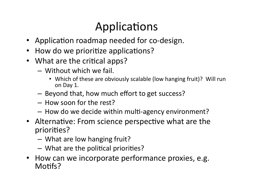# Applications

- Application roadmap needed for co-design.
- How do we prioritize applications?
- What are the critical apps?
	- $-$  Without which we fail.
		- Which of these are obviously scalable (low hanging fruit)? Will run on Day 1.
	- $-$  Beyond that, how much effort to get success?
	- $-$  How soon for the rest?
	- $-$  How do we decide within multi-agency environment?
- Alternative: From science perspective what are the priorities?
	- $-$  What are low hanging fruit?
	- $-$  What are the political priorities?
- How can we incorporate performance proxies, e.g. Motifs?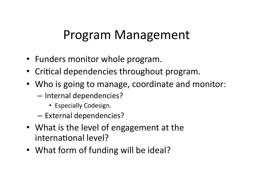#### Program Management

- Funders monitor whole program.
- Critical dependencies throughout program.
- Who is going to manage, coordinate and monitor:
	- Internal dependencies?
		- Especially Codesign.
	- External dependencies?
- What is the level of engagement at the international level?
- What form of funding will be ideal?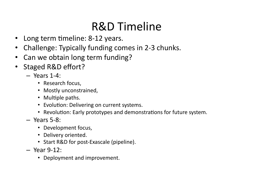#### **R&D Timeline**

- Long term timeline: 8-12 years.
- Challenge: Typically funding comes in 2-3 chunks.
- Can we obtain long term funding?
- Staged R&D effort?
	- $-$  Years 1-4:
		- Research focus,
		- Mostly unconstrained,
		- Multiple paths.
		- Evolution: Delivering on current systems.
		- Revolution: Early prototypes and demonstrations for future system.
	- $-$  Years 5-8:
		- Development focus,
		- Delivery oriented.
		- Start R&D for post-Exascale (pipeline).
	- $-$  Year 9-12:
		- Deployment and improvement.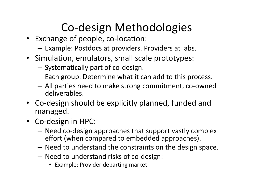# Co-design Methodologies

- Exchange of people, co-location:
	- Example: Postdocs at providers. Providers at labs.
- Simulation, emulators, small scale prototypes:
	- $-$  Systematically part of co-design.
	- $-$  Each group: Determine what it can add to this process.
	- All parties need to make strong commitment, co-owned deliverables.
- Co-design should be explicitly planned, funded and managed.
- Co-design in HPC:
	- $-$  Need co-design approaches that support vastly complex effort (when compared to embedded approaches).
	- Need to understand the constraints on the design space.
	- Need to understand risks of co-design:
		- Example: Provider departing market.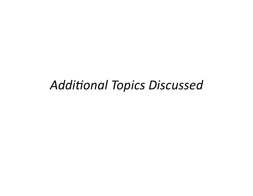#### **Additional Topics Discussed**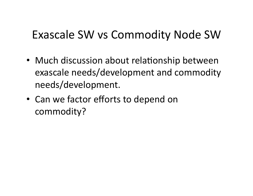#### Exascale SW vs Commodity Node SW

- Much discussion about relationship between exascale needs/development and commodity needs/development.%
- Can we factor efforts to depend on commodity?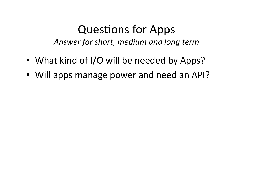#### Questions for Apps Answer for short, medium and long term

- What kind of I/O will be needed by Apps?
- Will apps manage power and need an API?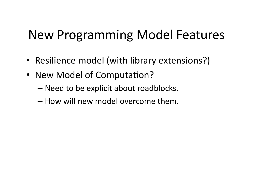# New Programming Model Features

- Resilience model (with library extensions?)
- New Model of Computation?
	- Need to be explicit about roadblocks.
	- $-$  How will new model overcome them.